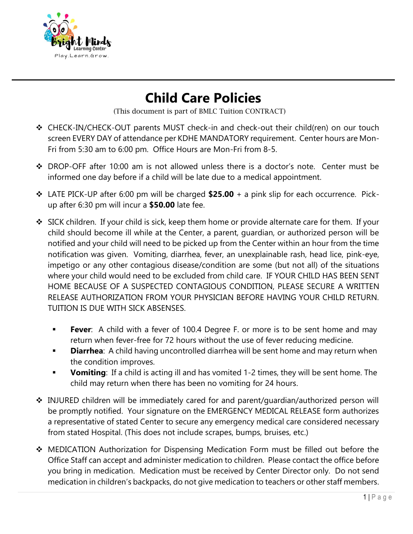

## **Child Care Policies**

(This document is part of BMLC Tuition CONTRACT)

- ❖ CHECK-IN/CHECK-OUT parents MUST check-in and check-out their child(ren) on our touch screen EVERY DAY of attendance per KDHE MANDATORY requirement. Center hours are Mon-Fri from 5:30 am to 6:00 pm. Office Hours are Mon-Fri from 8-5.
- ❖ DROP-OFF after 10:00 am is not allowed unless there is a doctor's note. Center must be informed one day before if a child will be late due to a medical appointment.
- ❖ LATE PICK-UP after 6:00 pm will be charged **\$25.00** + a pink slip for each occurrence. Pickup after 6:30 pm will incur a **\$50.00** late fee.
- ❖ SICK children. If your child is sick, keep them home or provide alternate care for them. If your child should become ill while at the Center, a parent, guardian, or authorized person will be notified and your child will need to be picked up from the Center within an hour from the time notification was given. Vomiting, diarrhea, fever, an unexplainable rash, head lice, pink-eye, impetigo or any other contagious disease/condition are some (but not all) of the situations where your child would need to be excluded from child care. IF YOUR CHILD HAS BEEN SENT HOME BECAUSE OF A SUSPECTED CONTAGIOUS CONDITION, PLEASE SECURE A WRITTEN RELEASE AUTHORIZATION FROM YOUR PHYSICIAN BEFORE HAVING YOUR CHILD RETURN. TUITION IS DUE WITH SICK ABSENSES.
	- **Fever**: A child with a fever of 100.4 Degree F. or more is to be sent home and may return when fever-free for 72 hours without the use of fever reducing medicine.
	- **Diarrhea**: A child having uncontrolled diarrhea will be sent home and may return when the condition improves.
	- **Vomiting**: If a child is acting ill and has vomited 1-2 times, they will be sent home. The child may return when there has been no vomiting for 24 hours.
- ❖ INJURED children will be immediately cared for and parent/guardian/authorized person will be promptly notified. Your signature on the EMERGENCY MEDICAL RELEASE form authorizes a representative of stated Center to secure any emergency medical care considered necessary from stated Hospital. (This does not include scrapes, bumps, bruises, etc.)
- ❖ MEDICATION Authorization for Dispensing Medication Form must be filled out before the Office Staff can accept and administer medication to children. Please contact the office before you bring in medication. Medication must be received by Center Director only. Do not send medication in children's backpacks, do not give medication to teachers or other staff members.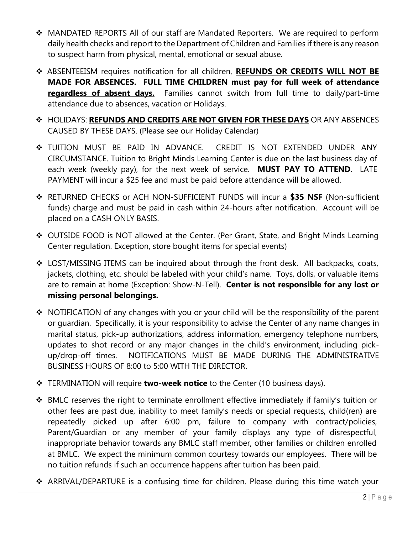- ❖ MANDATED REPORTS All of our staff are Mandated Reporters. We are required to perform daily health checks and report to the Department of Children and Families if there is any reason to suspect harm from physical, mental, emotional or sexual abuse.
- ❖ ABSENTEEISM requires notification for all children, **REFUNDS OR CREDITS WILL NOT BE MADE FOR ABSENCES. FULL TIME CHILDREN must pay for full week of attendance regardless of absent days.** Families cannot switch from full time to daily/part-time attendance due to absences, vacation or Holidays.
- ❖ HOLIDAYS: **REFUNDS AND CREDITS ARE NOT GIVEN FOR THESE DAYS** OR ANY ABSENCES CAUSED BY THESE DAYS. (Please see our Holiday Calendar)
- ❖ TUITION MUST BE PAID IN ADVANCE. CREDIT IS NOT EXTENDED UNDER ANY CIRCUMSTANCE. Tuition to Bright Minds Learning Center is due on the last business day of each week (weekly pay), for the next week of service. **MUST PAY TO ATTEND**. LATE PAYMENT will incur a \$25 fee and must be paid before attendance will be allowed.
- ❖ RETURNED CHECKS or ACH NON-SUFFICIENT FUNDS will incur a **\$35 NSF** (Non-sufficient funds) charge and must be paid in cash within 24-hours after notification. Account will be placed on a CASH ONLY BASIS.
- ❖ OUTSIDE FOOD is NOT allowed at the Center. (Per Grant, State, and Bright Minds Learning Center regulation. Exception, store bought items for special events)
- ❖ LOST/MISSING ITEMS can be inquired about through the front desk. All backpacks, coats, jackets, clothing, etc. should be labeled with your child's name. Toys, dolls, or valuable items are to remain at home (Exception: Show-N-Tell). **Center is not responsible for any lost or missing personal belongings.**
- ❖ NOTIFICATION of any changes with you or your child will be the responsibility of the parent or guardian. Specifically, it is your responsibility to advise the Center of any name changes in marital status, pick-up authorizations, address information, emergency telephone numbers, updates to shot record or any major changes in the child's environment, including pickup/drop-off times. NOTIFICATIONS MUST BE MADE DURING THE ADMINISTRATIVE BUSINESS HOURS OF 8:00 to 5:00 WITH THE DIRECTOR.
- ❖ TERMINATION will require **two-week notice** to the Center (10 business days).
- ❖ BMLC reserves the right to terminate enrollment effective immediately if family's tuition or other fees are past due, inability to meet family's needs or special requests, child(ren) are repeatedly picked up after 6:00 pm, failure to company with contract/policies, Parent/Guardian or any member of your family displays any type of disrespectful, inappropriate behavior towards any BMLC staff member, other families or children enrolled at BMLC. We expect the minimum common courtesy towards our employees. There will be no tuition refunds if such an occurrence happens after tuition has been paid.
- ❖ ARRIVAL/DEPARTURE is a confusing time for children. Please during this time watch your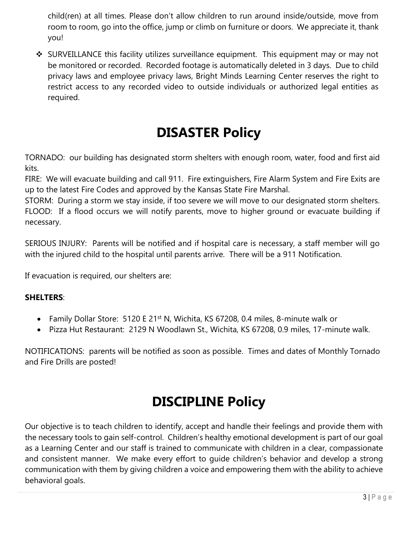child(ren) at all times. Please don't allow children to run around inside/outside, move from room to room, go into the office, jump or climb on furniture or doors. We appreciate it, thank you!

❖ SURVEILLANCE this facility utilizes surveillance equipment. This equipment may or may not be monitored or recorded. Recorded footage is automatically deleted in 3 days. Due to child privacy laws and employee privacy laws, Bright Minds Learning Center reserves the right to restrict access to any recorded video to outside individuals or authorized legal entities as required.

## **DISASTER Policy**

TORNADO: our building has designated storm shelters with enough room, water, food and first aid kits.

FIRE: We will evacuate building and call 911. Fire extinguishers, Fire Alarm System and Fire Exits are up to the latest Fire Codes and approved by the Kansas State Fire Marshal.

STORM: During a storm we stay inside, if too severe we will move to our designated storm shelters. FLOOD: If a flood occurs we will notify parents, move to higher ground or evacuate building if necessary.

SERIOUS INJURY: Parents will be notified and if hospital care is necessary, a staff member will go with the injured child to the hospital until parents arrive. There will be a 911 Notification.

If evacuation is required, our shelters are:

## **SHELTERS**:

- Family Dollar Store: 5120 E 21<sup>st</sup> N, Wichita, KS 67208, 0.4 miles, 8-minute walk or
- Pizza Hut Restaurant: 2129 N Woodlawn St., Wichita, KS 67208, 0.9 miles, 17-minute walk.

NOTIFICATIONS: parents will be notified as soon as possible. Times and dates of Monthly Tornado and Fire Drills are posted!

## **DISCIPLINE Policy**

Our objective is to teach children to identify, accept and handle their feelings and provide them with the necessary tools to gain self-control. Children's healthy emotional development is part of our goal as a Learning Center and our staff is trained to communicate with children in a clear, compassionate and consistent manner. We make every effort to guide children's behavior and develop a strong communication with them by giving children a voice and empowering them with the ability to achieve behavioral goals.